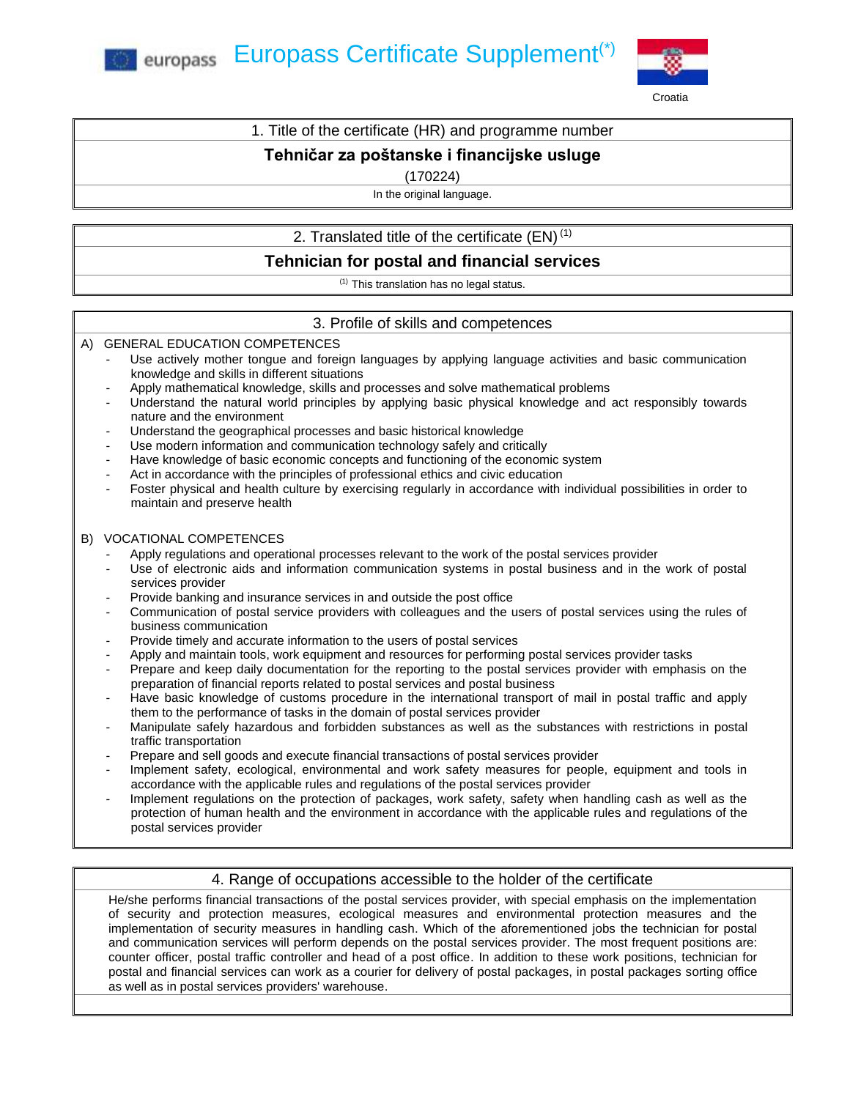**External Europass Certificate Supplement**<sup>(\*)</sup>



### 1. Title of the certificate (HR) and programme number

# **Tehničar za poštanske i financijske usluge**

(170224)

In the original language.

# 2. Translated title of the certificate  $(EN)^{(1)}$

# **Tehnician for postal and financial services**

(1) This translation has no legal status.

## 3. Profile of skills and competences

### A) GENERAL EDUCATION COMPETENCES

- Use actively mother tongue and foreign languages by applying language activities and basic communication knowledge and skills in different situations
- Apply mathematical knowledge, skills and processes and solve mathematical problems
- Understand the natural world principles by applying basic physical knowledge and act responsibly towards nature and the environment
- Understand the geographical processes and basic historical knowledge
- Use modern information and communication technology safely and critically
- Have knowledge of basic economic concepts and functioning of the economic system
- Act in accordance with the principles of professional ethics and civic education
- Foster physical and health culture by exercising regularly in accordance with individual possibilities in order to maintain and preserve health

### B) VOCATIONAL COMPETENCES

- Apply regulations and operational processes relevant to the work of the postal services provider
- Use of electronic aids and information communication systems in postal business and in the work of postal services provider
- Provide banking and insurance services in and outside the post office
- Communication of postal service providers with colleagues and the users of postal services using the rules of business communication
- Provide timely and accurate information to the users of postal services
- Apply and maintain tools, work equipment and resources for performing postal services provider tasks
- Prepare and keep daily documentation for the reporting to the postal services provider with emphasis on the preparation of financial reports related to postal services and postal business
- Have basic knowledge of customs procedure in the international transport of mail in postal traffic and apply them to the performance of tasks in the domain of postal services provider
- Manipulate safely hazardous and forbidden substances as well as the substances with restrictions in postal traffic transportation
- Prepare and sell goods and execute financial transactions of postal services provider
- Implement safety, ecological, environmental and work safety measures for people, equipment and tools in accordance with the applicable rules and regulations of the postal services provider
- Implement regulations on the protection of packages, work safety, safety when handling cash as well as the protection of human health and the environment in accordance with the applicable rules and regulations of the postal services provider

### 4. Range of occupations accessible to the holder of the certificate

He/she performs financial transactions of the postal services provider, with special emphasis on the implementation of security and protection measures, ecological measures and environmental protection measures and the implementation of security measures in handling cash. Which of the aforementioned jobs the technician for postal and communication services will perform depends on the postal services provider. The most frequent positions are: counter officer, postal traffic controller and head of a post office. In addition to these work positions, technician for postal and financial services can work as a courier for delivery of postal packages, in postal packages sorting office as well as in postal services providers' warehouse.